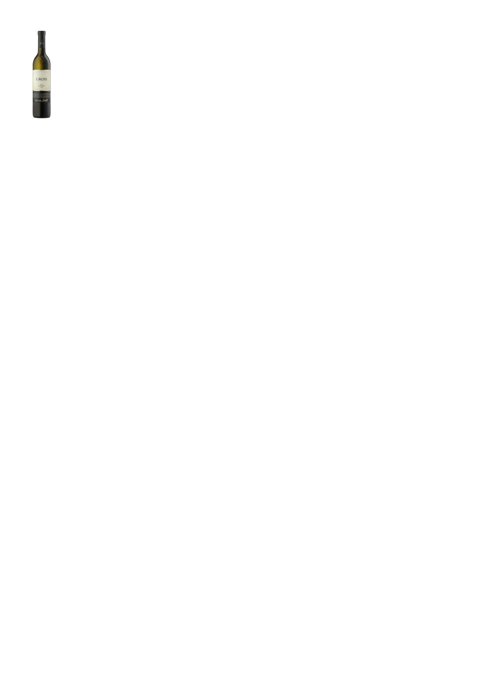